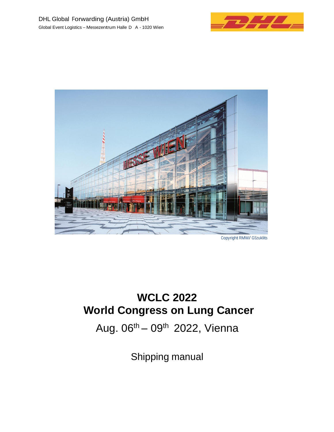



# **WCLC 2022 World Congress on Lung Cancer**

Aug.  $06^{th} - 09^{th}$  2022, Vienna

Shipping manual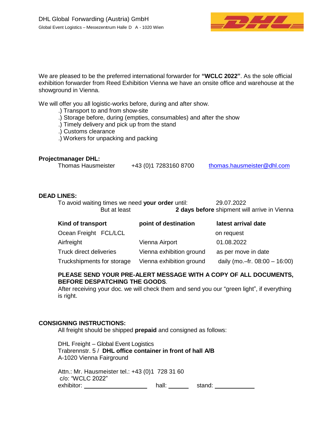

We are pleased to be the preferred international forwarder for **"WCLC 2022"**. As the sole official exhibition forwarder from Reed Exhibition Vienna we have an onsite office and warehouse at the showground in Vienna.

We will offer you all logistic-works before, during and after show.

.) Transport to and from show-site

- .) Storage before, during (empties, consumables) and after the show
- .) Timely delivery and pick up from the stand

.) Customs clearance

.) Workers for unpacking and packing

### **Projectmanager DHL:**

| <b>Thomas Hausmeister</b> | +43 (0) 1 7283160 8700 | thomas.hausmeister@dhl.com |
|---------------------------|------------------------|----------------------------|
|---------------------------|------------------------|----------------------------|

### **DEAD LINES:**

| To avoid waiting times we need your order until: | 29.07.2022                                   |
|--------------------------------------------------|----------------------------------------------|
| But at least                                     | 2 days before shipment will arrive in Vienna |

| Kind of transport          | point of destination     | latest arrival date              |
|----------------------------|--------------------------|----------------------------------|
| Ocean Freight FCL/LCL      |                          | on request                       |
| Airfreight                 | Vienna Airport           | 01.08.2022                       |
| Truck direct deliveries    | Vienna exhibition ground | as per move in date              |
| Truckshipments for storage | Vienna exhibition ground | daily (mo.-fr. $08:00 - 16:00$ ) |

### **PLEASE SEND YOUR PRE-ALERT MESSAGE WITH A COPY OF ALL DOCUMENTS, BEFORE DESPATCHING THE GOODS**.

After receiving your doc. we will check them and send you our "green light", if everything is right.

#### **CONSIGNING INSTRUCTIONS:**

All freight should be shipped **prepaid** and consigned as follows:

DHL Freight – Global Event Logistics Trabrennstr. 5 / **DHL office container in front of hall A/B** A-1020 Vienna Fairground

Attn.: Mr. Hausmeister tel.: +43 (0)1 728 31 60 c/o: "WCLC 2022" exhibitor: \_\_\_\_\_\_\_\_\_\_\_\_\_\_\_\_\_\_\_\_\_\_\_\_ hall: \_\_\_\_\_\_\_\_\_ stand: \_\_\_\_\_\_\_\_\_\_\_\_\_\_\_\_\_\_\_\_\_